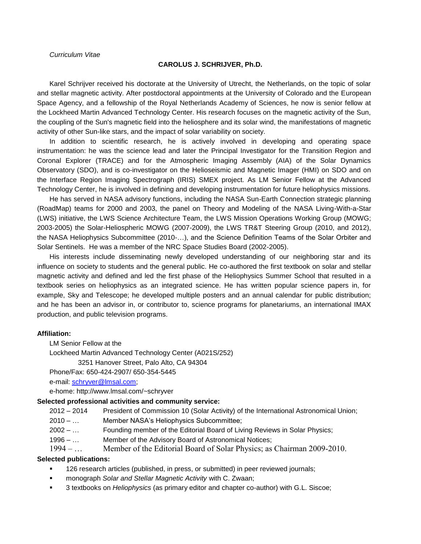# *Curriculum Vitae*

### **CAROLUS J. SCHRIJVER, Ph.D.**

Karel Schrijver received his doctorate at the University of Utrecht, the Netherlands, on the topic of solar and stellar magnetic activity. After postdoctoral appointments at the University of Colorado and the European Space Agency, and a fellowship of the Royal Netherlands Academy of Sciences, he now is senior fellow at the Lockheed Martin Advanced Technology Center. His research focuses on the magnetic activity of the Sun, the coupling of the Sun's magnetic field into the heliosphere and its solar wind, the manifestations of magnetic activity of other Sun-like stars, and the impact of solar variability on society.

In addition to scientific research, he is actively involved in developing and operating space instrumentation: he was the science lead and later the Principal Investigator for the Transition Region and Coronal Explorer (TRACE) and for the Atmospheric Imaging Assembly (AIA) of the Solar Dynamics Observatory (SDO), and is co-investigator on the Helioseismic and Magnetic Imager (HMI) on SDO and on the Interface Region Imaging Spectrograph (IRIS) SMEX project. As LM Senior Fellow at the Advanced Technology Center, he is involved in defining and developing instrumentation for future heliophysics missions.

He has served in NASA advisory functions, including the NASA Sun-Earth Connection strategic planning (RoadMap) teams for 2000 and 2003, the panel on Theory and Modeling of the NASA Living-With-a-Star (LWS) initiative, the LWS Science Architecture Team, the LWS Mission Operations Working Group (MOWG; 2003-2005) the Solar-Heliospheric MOWG (2007-2009), the LWS TR&T Steering Group (2010, and 2012), the NASA Heliophysics Subcommittee (2010-…), and the Science Definition Teams of the Solar Orbiter and Solar Sentinels. He was a member of the NRC Space Studies Board (2002-2005).

His interests include disseminating newly developed understanding of our neighboring star and its influence on society to students and the general public. He co-authored the first textbook on solar and stellar magnetic activity and defined and led the first phase of the Heliophysics Summer School that resulted in a textbook series on heliophysics as an integrated science. He has written popular science papers in, for example, Sky and Telescope; he developed multiple posters and an annual calendar for public distribution; and he has been an advisor in, or contributor to, science programs for planetariums, an international IMAX production, and public television programs.

#### **Affiliation:**

LM Senior Fellow at the Lockheed Martin Advanced Technology Center (A021S/252) 3251 Hanover Street, Palo Alto, CA 94304

Phone/Fax: 650-424-2907/ 650-354-5445

e-mail: [schryver@lmsal.com;](mailto:schryver@lmsal.com)

e-home: http://www.lmsal.com/~schryver

## **Selected professional activities and community service:**

2012 – 2014 President of Commission 10 (Solar Activity) of the International Astronomical Union;

- 2010 … Member NASA's Heliophysics Subcommittee;
- 2002 … Founding member of the Editorial Board of Living Reviews in Solar Physics;
- 1996 ... Member of the Advisory Board of Astronomical Notices;
- 1994 … Member of the Editorial Board of Solar Physics; as Chairman 2009-2010.

#### **Selected publications:**

- 126 research articles (published, in press, or submitted) in peer reviewed journals;
- monograph *Solar and Stellar Magnetic Activity* with C. Zwaan;
- 3 textbooks on *Heliophysics* (as primary editor and chapter co-author) with G.L. Siscoe;